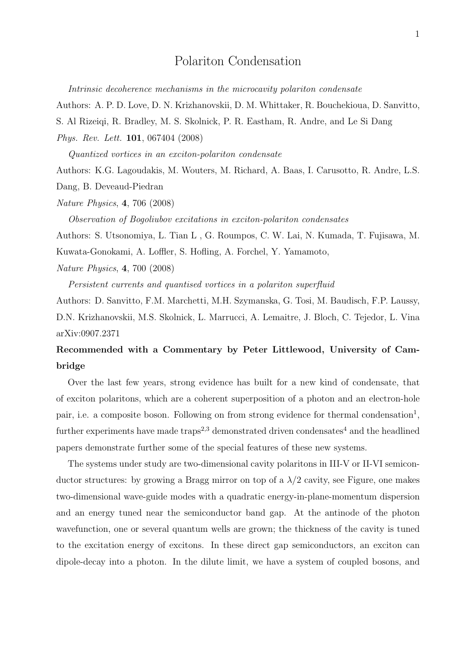## Polariton Condensation

*Intrinsic decoherence mechanisms in the microcavity polariton condensate*

Authors: A. P. D. Love, D. N. Krizhanovskii, D. M. Whittaker, R. Bouchekioua, D. Sanvitto,

S. Al Rizeiqi, R. Bradley, M. S. Skolnick, P. R. Eastham, R. Andre, and Le Si Dang

*Phys. Rev. Lett.* 101, 067404 (2008)

*Quantized vortices in an exciton-polariton condensate*

Authors: K.G. Lagoudakis, M. Wouters, M. Richard, A. Baas, I. Carusotto, R. Andre, L.S.

Dang, B. Deveaud-Piedran

*Nature Physics*, 4, 706 (2008)

*Observation of Bogoliubov excitations in exciton-polariton condensates*

Authors: S. Utsonomiya, L. Tian L , G. Roumpos, C. W. Lai, N. Kumada, T. Fujisawa, M.

Kuwata-Gonokami, A. Loffler, S. Hofling, A. Forchel, Y. Yamamoto,

*Nature Physics*, 4, 700 (2008)

*Persistent currents and quantised vortices in a polariton superfluid*

Authors: D. Sanvitto, F.M. Marchetti, M.H. Szymanska, G. Tosi, M. Baudisch, F.P. Laussy, D.N. Krizhanovskii, M.S. Skolnick, L. Marrucci, A. Lemaitre, J. Bloch, C. Tejedor, L. Vina arXiv:0907.2371

## Recommended with a Commentary by Peter Littlewood, University of Cambridge

Over the last few years, strong evidence has built for a new kind of condensate, that of exciton polaritons, which are a coherent superposition of a photon and an electron-hole pair, i.e. a composite boson. Following on from strong evidence for thermal condensation<sup>1</sup>, further experiments have made traps<sup>2,3</sup> demonstrated driven condensates<sup>4</sup> and the headlined papers demonstrate further some of the special features of these new systems.

The systems under study are two-dimensional cavity polaritons in III-V or II-VI semiconductor structures: by growing a Bragg mirror on top of a  $\lambda/2$  cavity, see Figure, one makes two-dimensional wave-guide modes with a quadratic energy-in-plane-momentum dispersion and an energy tuned near the semiconductor band gap. At the antinode of the photon wavefunction, one or several quantum wells are grown; the thickness of the cavity is tuned to the excitation energy of excitons. In these direct gap semiconductors, an exciton can dipole-decay into a photon. In the dilute limit, we have a system of coupled bosons, and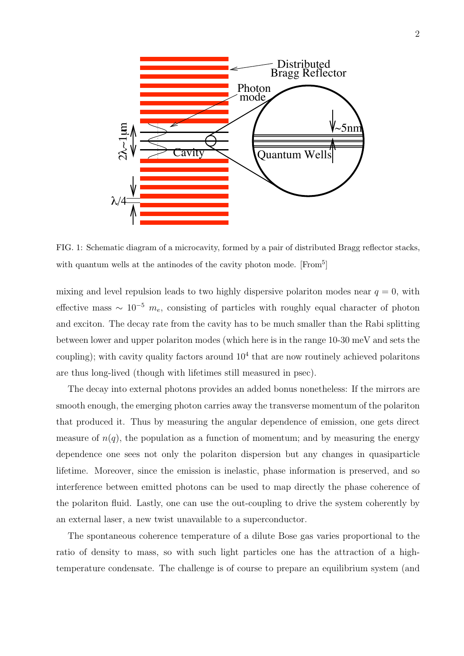

FIG. 1: Schematic diagram of a microcavity, formed by a pair of distributed Bragg reflector stacks, with quantum wells at the antinodes of the cavity photon mode.  $[From<sup>5</sup>]$ 

mixing and level repulsion leads to two highly dispersive polariton modes near  $q = 0$ , with effective mass  $\sim 10^{-5}$   $m_e$ , consisting of particles with roughly equal character of photon and exciton. The decay rate from the cavity has to be much smaller than the Rabi splitting between lower and upper polariton modes (which here is in the range 10-30 meV and sets the coupling); with cavity quality factors around  $10<sup>4</sup>$  that are now routinely achieved polaritons are thus long-lived (though with lifetimes still measured in psec).

The decay into external photons provides an added bonus nonetheless: If the mirrors are smooth enough, the emerging photon carries away the transverse momentum of the polariton that produced it. Thus by measuring the angular dependence of emission, one gets direct measure of  $n(q)$ , the population as a function of momentum; and by measuring the energy dependence one sees not only the polariton dispersion but any changes in quasiparticle lifetime. Moreover, since the emission is inelastic, phase information is preserved, and so interference between emitted photons can be used to map directly the phase coherence of the polariton fluid. Lastly, one can use the out-coupling to drive the system coherently by an external laser, a new twist unavailable to a superconductor.

The spontaneous coherence temperature of a dilute Bose gas varies proportional to the ratio of density to mass, so with such light particles one has the attraction of a hightemperature condensate. The challenge is of course to prepare an equilibrium system (and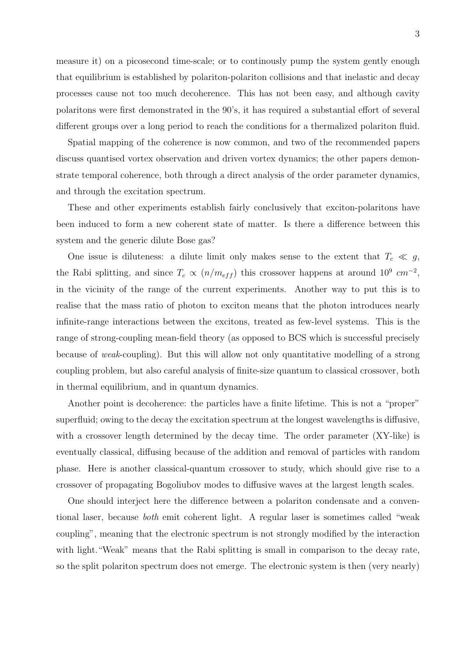measure it) on a picosecond time-scale; or to continously pump the system gently enough that equilibrium is established by polariton-polariton collisions and that inelastic and decay processes cause not too much decoherence. This has not been easy, and although cavity polaritons were first demonstrated in the 90's, it has required a substantial effort of several different groups over a long period to reach the conditions for a thermalized polariton fluid.

Spatial mapping of the coherence is now common, and two of the recommended papers discuss quantised vortex observation and driven vortex dynamics; the other papers demonstrate temporal coherence, both through a direct analysis of the order parameter dynamics, and through the excitation spectrum.

These and other experiments establish fairly conclusively that exciton-polaritons have been induced to form a new coherent state of matter. Is there a difference between this system and the generic dilute Bose gas?

One issue is diluteness: a dilute limit only makes sense to the extent that  $T_c \ll g$ , the Rabi splitting, and since  $T_c \propto (n/m_{eff})$  this crossover happens at around 10<sup>9</sup> cm<sup>-2</sup>, in the vicinity of the range of the current experiments. Another way to put this is to realise that the mass ratio of photon to exciton means that the photon introduces nearly infinite-range interactions between the excitons, treated as few-level systems. This is the range of strong-coupling mean-field theory (as opposed to BCS which is successful precisely because of *weak*-coupling). But this will allow not only quantitative modelling of a strong coupling problem, but also careful analysis of finite-size quantum to classical crossover, both in thermal equilibrium, and in quantum dynamics.

Another point is decoherence: the particles have a finite lifetime. This is not a "proper" superfluid; owing to the decay the excitation spectrum at the longest wavelengths is diffusive, with a crossover length determined by the decay time. The order parameter  $(XY\text{-like})$  is eventually classical, diffusing because of the addition and removal of particles with random phase. Here is another classical-quantum crossover to study, which should give rise to a crossover of propagating Bogoliubov modes to diffusive waves at the largest length scales.

One should interject here the difference between a polariton condensate and a conventional laser, because *both* emit coherent light. A regular laser is sometimes called "weak coupling", meaning that the electronic spectrum is not strongly modified by the interaction with light. "Weak" means that the Rabi splitting is small in comparison to the decay rate, so the split polariton spectrum does not emerge. The electronic system is then (very nearly)